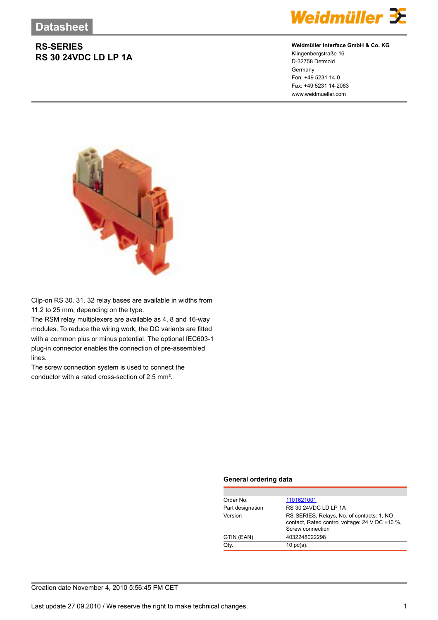## **RS-SERIES RS 30 24VDC LD LP 1A**



### **Weidmüller Interface GmbH & Co. KG**

Klingenbergstraße 16 D-32758 Detmold Germany Fon: +49 5231 14-0 Fax: +49 5231 14-2083 www.weidmueller.com



Clip-on RS 30. 31. 32 relay bases are available in widths from 11.2 to 25 mm, depending on the type.

The RSM relay multiplexers are available as 4, 8 and 16-way modules. To reduce the wiring work, the DC variants are fitted with a common plus or minus potential. The optional IEC603-1 plug-in connector enables the connection of pre-assembled lines.

The screw connection system is used to connect the conductor with a rated cross-section of 2.5 mm².

#### **General ordering data**

| Order No.        | 1101621001                                                                                                      |  |  |
|------------------|-----------------------------------------------------------------------------------------------------------------|--|--|
| Part designation | RS 30 24VDC LD LP 1A                                                                                            |  |  |
| Version          | RS-SERIES, Relays, No. of contacts: 1, NO<br>contact, Rated control voltage: 24 V DC ±10 %,<br>Screw connection |  |  |
| GTIN (EAN)       | 4032248022298                                                                                                   |  |  |
| Qtv.             | $10 \text{ pc(s)}$ .                                                                                            |  |  |